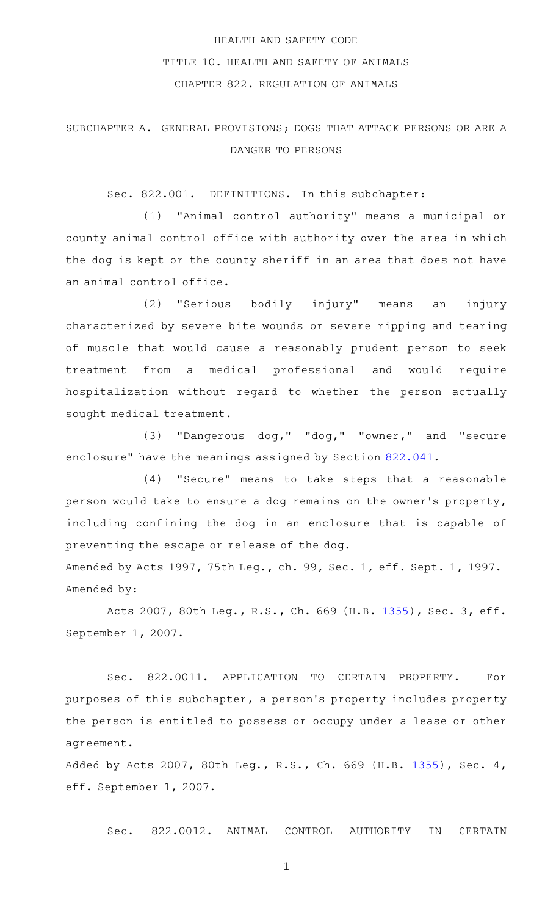# HEALTH AND SAFETY CODE TITLE 10. HEALTH AND SAFETY OF ANIMALS CHAPTER 822. REGULATION OF ANIMALS

## SUBCHAPTER A. GENERAL PROVISIONS; DOGS THAT ATTACK PERSONS OR ARE A DANGER TO PERSONS

Sec. 822.001. DEFINITIONS. In this subchapter:

(1) "Animal control authority" means a municipal or county animal control office with authority over the area in which the dog is kept or the county sheriff in an area that does not have an animal control office.

(2) "Serious bodily injury" means an injury characterized by severe bite wounds or severe ripping and tearing of muscle that would cause a reasonably prudent person to seek treatment from a medical professional and would require hospitalization without regard to whether the person actually sought medical treatment.

(3) "Dangerous dog," "dog," "owner," and "secure enclosure" have the meanings assigned by Section [822.041](http://www.statutes.legis.state.tx.us/GetStatute.aspx?Code=HS&Value=822.041).

(4) "Secure" means to take steps that a reasonable person would take to ensure a dog remains on the owner 's property, including confining the dog in an enclosure that is capable of preventing the escape or release of the dog.

Amended by Acts 1997, 75th Leg., ch. 99, Sec. 1, eff. Sept. 1, 1997. Amended by:

Acts 2007, 80th Leg., R.S., Ch. 669 (H.B. [1355](http://www.legis.state.tx.us/tlodocs/80R/billtext/html/HB01355F.HTM)), Sec. 3, eff. September 1, 2007.

Sec. 822.0011. APPLICATION TO CERTAIN PROPERTY. For purposes of this subchapter, a person 's property includes property the person is entitled to possess or occupy under a lease or other agreement.

Added by Acts 2007, 80th Leg., R.S., Ch. 669 (H.B. [1355](http://www.legis.state.tx.us/tlodocs/80R/billtext/html/HB01355F.HTM)), Sec. 4, eff. September 1, 2007.

Sec. 822.0012. ANIMAL CONTROL AUTHORITY IN CERTAIN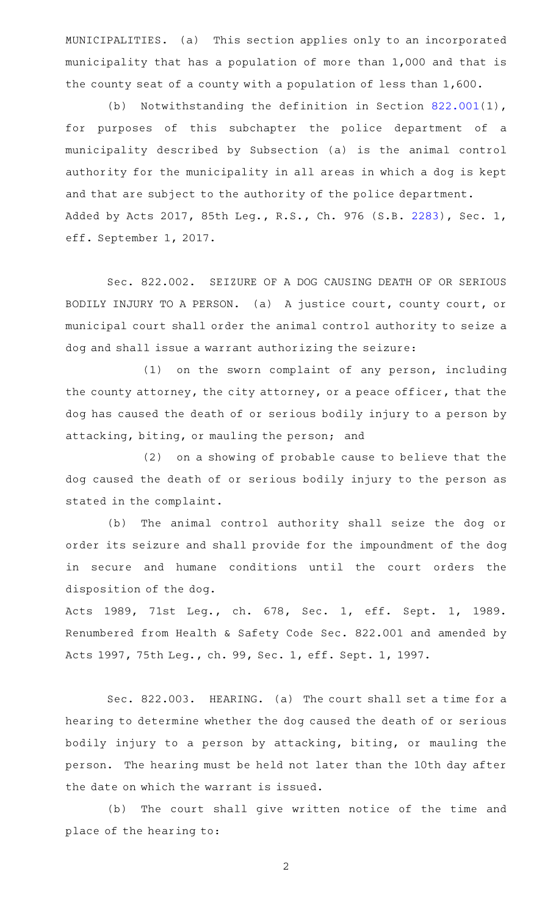MUNICIPALITIES. (a) This section applies only to an incorporated municipality that has a population of more than 1,000 and that is the county seat of a county with a population of less than 1,600.

(b) Notwithstanding the definition in Section  $822.001(1)$  $822.001(1)$ , for purposes of this subchapter the police department of a municipality described by Subsection (a) is the animal control authority for the municipality in all areas in which a dog is kept and that are subject to the authority of the police department. Added by Acts 2017, 85th Leg., R.S., Ch. 976 (S.B. [2283](http://www.legis.state.tx.us/tlodocs/85R/billtext/html/SB02283F.HTM)), Sec. 1, eff. September 1, 2017.

Sec. 822.002. SEIZURE OF A DOG CAUSING DEATH OF OR SERIOUS BODILY INJURY TO A PERSON. (a) A justice court, county court, or municipal court shall order the animal control authority to seize a dog and shall issue a warrant authorizing the seizure:

 $(1)$  on the sworn complaint of any person, including the county attorney, the city attorney, or a peace officer, that the dog has caused the death of or serious bodily injury to a person by attacking, biting, or mauling the person; and

(2) on a showing of probable cause to believe that the dog caused the death of or serious bodily injury to the person as stated in the complaint.

(b) The animal control authority shall seize the dog or order its seizure and shall provide for the impoundment of the dog in secure and humane conditions until the court orders the disposition of the dog.

Acts 1989, 71st Leg., ch. 678, Sec. 1, eff. Sept. 1, 1989. Renumbered from Health & Safety Code Sec. 822.001 and amended by Acts 1997, 75th Leg., ch. 99, Sec. 1, eff. Sept. 1, 1997.

Sec. 822.003. HEARING. (a) The court shall set a time for a hearing to determine whether the dog caused the death of or serious bodily injury to a person by attacking, biting, or mauling the person. The hearing must be held not later than the 10th day after the date on which the warrant is issued.

(b) The court shall give written notice of the time and place of the hearing to: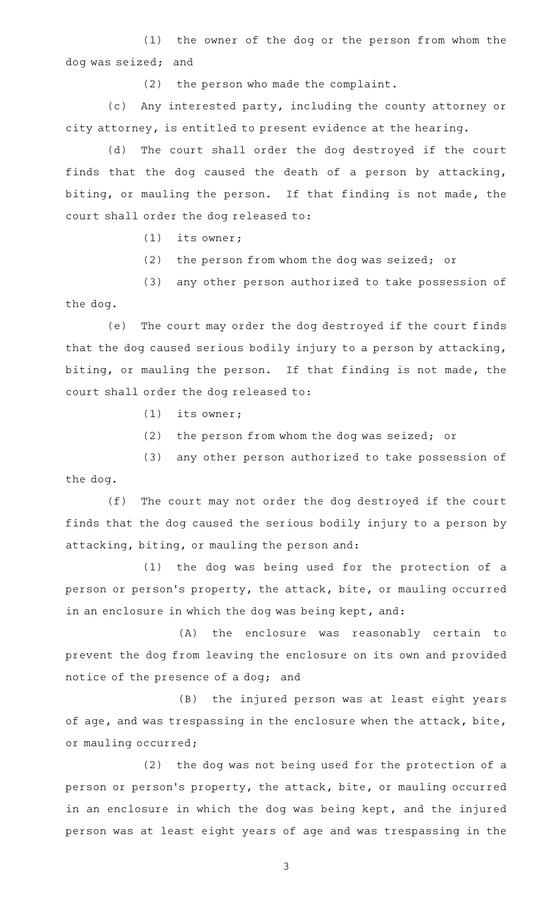(1) the owner of the dog or the person from whom the dog was seized; and

 $(2)$  the person who made the complaint.

(c) Any interested party, including the county attorney or city attorney, is entitled to present evidence at the hearing.

(d) The court shall order the dog destroyed if the court finds that the dog caused the death of a person by attacking, biting, or mauling the person. If that finding is not made, the court shall order the dog released to:

 $(1)$  its owner;

 $(2)$  the person from whom the dog was seized; or

(3) any other person authorized to take possession of the dog.

(e) The court may order the dog destroyed if the court finds that the dog caused serious bodily injury to a person by attacking, biting, or mauling the person. If that finding is not made, the court shall order the dog released to:

 $(1)$  its owner;

 $(2)$  the person from whom the dog was seized; or

(3) any other person authorized to take possession of the dog.

(f) The court may not order the dog destroyed if the court finds that the dog caused the serious bodily injury to a person by attacking, biting, or mauling the person and:

(1) the dog was being used for the protection of a person or person's property, the attack, bite, or mauling occurred in an enclosure in which the dog was being kept, and:

(A) the enclosure was reasonably certain to prevent the dog from leaving the enclosure on its own and provided notice of the presence of a dog; and

(B) the injured person was at least eight years of age, and was trespassing in the enclosure when the attack, bite, or mauling occurred;

 $(2)$  the dog was not being used for the protection of a person or person's property, the attack, bite, or mauling occurred in an enclosure in which the dog was being kept, and the injured person was at least eight years of age and was trespassing in the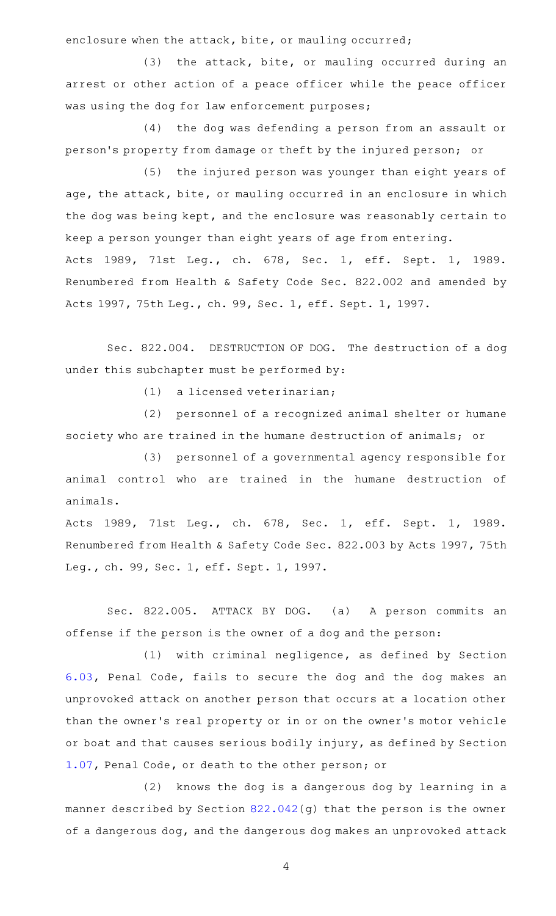enclosure when the attack, bite, or mauling occurred;

 $(3)$  the attack, bite, or mauling occurred during an arrest or other action of a peace officer while the peace officer was using the dog for law enforcement purposes;

(4) the dog was defending a person from an assault or person 's property from damage or theft by the injured person; or

(5) the injured person was younger than eight years of age, the attack, bite, or mauling occurred in an enclosure in which the dog was being kept, and the enclosure was reasonably certain to keep a person younger than eight years of age from entering. Acts 1989, 71st Leg., ch. 678, Sec. 1, eff. Sept. 1, 1989. Renumbered from Health & Safety Code Sec. 822.002 and amended by Acts 1997, 75th Leg., ch. 99, Sec. 1, eff. Sept. 1, 1997.

Sec. 822.004. DESTRUCTION OF DOG. The destruction of a dog under this subchapter must be performed by:

(1) a licensed veterinarian;

(2) personnel of a recognized animal shelter or humane society who are trained in the humane destruction of animals; or

(3) personnel of a governmental agency responsible for animal control who are trained in the humane destruction of animals.

Acts 1989, 71st Leg., ch. 678, Sec. 1, eff. Sept. 1, 1989. Renumbered from Health & Safety Code Sec. 822.003 by Acts 1997, 75th Leg., ch. 99, Sec. 1, eff. Sept. 1, 1997.

Sec. 822.005. ATTACK BY DOG. (a) A person commits an offense if the person is the owner of a dog and the person:

(1) with criminal negligence, as defined by Section [6.03](http://www.statutes.legis.state.tx.us/GetStatute.aspx?Code=PE&Value=6.03), Penal Code, fails to secure the dog and the dog makes an unprovoked attack on another person that occurs at a location other than the owner 's real property or in or on the owner 's motor vehicle or boat and that causes serious bodily injury, as defined by Section [1.07](http://www.statutes.legis.state.tx.us/GetStatute.aspx?Code=PE&Value=1.07), Penal Code, or death to the other person; or

(2) knows the dog is a dangerous dog by learning in a manner described by Section [822.042](http://www.statutes.legis.state.tx.us/GetStatute.aspx?Code=HS&Value=822.042)(g) that the person is the owner of a dangerous dog, and the dangerous dog makes an unprovoked attack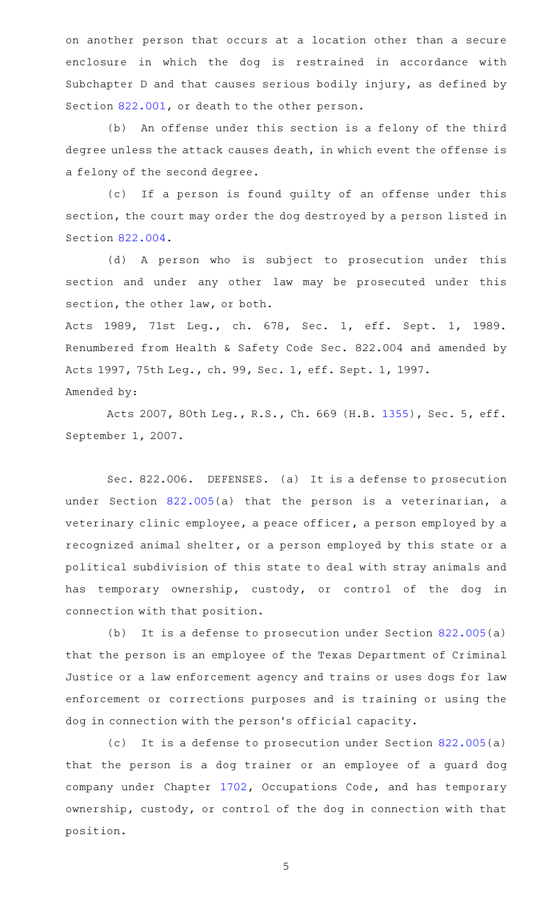on another person that occurs at a location other than a secure enclosure in which the dog is restrained in accordance with Subchapter D and that causes serious bodily injury, as defined by Section [822.001,](http://www.statutes.legis.state.tx.us/GetStatute.aspx?Code=HS&Value=822.001) or death to the other person.

(b) An offense under this section is a felony of the third degree unless the attack causes death, in which event the offense is a felony of the second degree.

(c) If a person is found guilty of an offense under this section, the court may order the dog destroyed by a person listed in Section [822.004.](http://www.statutes.legis.state.tx.us/GetStatute.aspx?Code=HS&Value=822.004)

(d) A person who is subject to prosecution under this section and under any other law may be prosecuted under this section, the other law, or both.

Acts 1989, 71st Leg., ch. 678, Sec. 1, eff. Sept. 1, 1989. Renumbered from Health & Safety Code Sec. 822.004 and amended by Acts 1997, 75th Leg., ch. 99, Sec. 1, eff. Sept. 1, 1997. Amended by:

Acts 2007, 80th Leg., R.S., Ch. 669 (H.B. [1355](http://www.legis.state.tx.us/tlodocs/80R/billtext/html/HB01355F.HTM)), Sec. 5, eff. September 1, 2007.

Sec. 822.006. DEFENSES. (a) It is a defense to prosecution under Section [822.005](http://www.statutes.legis.state.tx.us/GetStatute.aspx?Code=HS&Value=822.005)(a) that the person is a veterinarian, a veterinary clinic employee, a peace officer, a person employed by a recognized animal shelter, or a person employed by this state or a political subdivision of this state to deal with stray animals and has temporary ownership, custody, or control of the dog in connection with that position.

(b) It is a defense to prosecution under Section  $822.005(a)$  $822.005(a)$ that the person is an employee of the Texas Department of Criminal Justice or a law enforcement agency and trains or uses dogs for law enforcement or corrections purposes and is training or using the dog in connection with the person 's official capacity.

(c) It is a defense to prosecution under Section  $822.005(a)$  $822.005(a)$ that the person is a dog trainer or an employee of a guard dog company under Chapter [1702](http://www.statutes.legis.state.tx.us/GetStatute.aspx?Code=OC&Value=1702), Occupations Code, and has temporary ownership, custody, or control of the dog in connection with that position.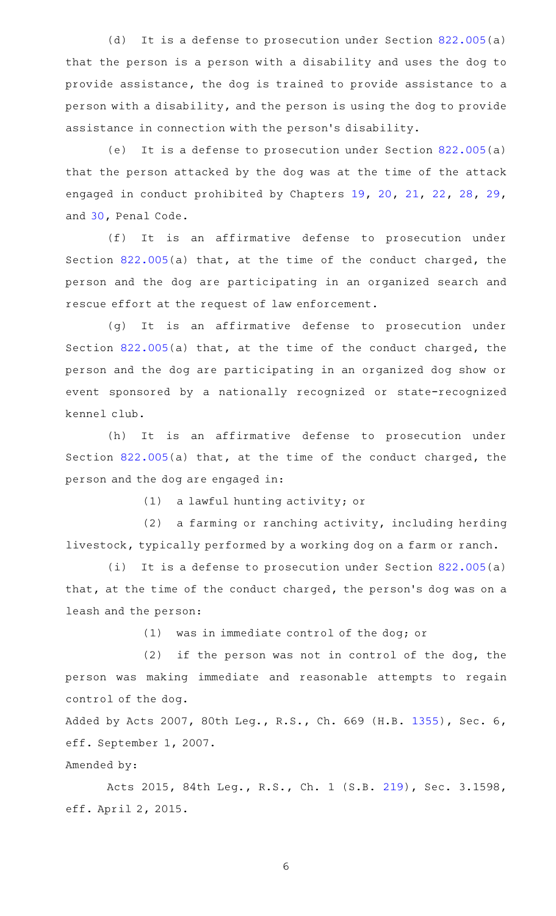(d) It is a defense to prosecution under Section  $822.005(a)$  $822.005(a)$ that the person is a person with a disability and uses the dog to provide assistance, the dog is trained to provide assistance to a person with a disability, and the person is using the dog to provide assistance in connection with the person 's disability.

(e) It is a defense to prosecution under Section  $822.005(a)$  $822.005(a)$ that the person attacked by the dog was at the time of the attack engaged in conduct prohibited by Chapters [19,](http://www.statutes.legis.state.tx.us/GetStatute.aspx?Code=PE&Value=19) [20](http://www.statutes.legis.state.tx.us/GetStatute.aspx?Code=PE&Value=20), [21](http://www.statutes.legis.state.tx.us/GetStatute.aspx?Code=PE&Value=21), [22,](http://www.statutes.legis.state.tx.us/GetStatute.aspx?Code=PE&Value=22) [28,](http://www.statutes.legis.state.tx.us/GetStatute.aspx?Code=PE&Value=28) [29](http://www.statutes.legis.state.tx.us/GetStatute.aspx?Code=PE&Value=29), and [30,](http://www.statutes.legis.state.tx.us/GetStatute.aspx?Code=PE&Value=30) Penal Code.

(f) It is an affirmative defense to prosecution under Section [822.005](http://www.statutes.legis.state.tx.us/GetStatute.aspx?Code=HS&Value=822.005)(a) that, at the time of the conduct charged, the person and the dog are participating in an organized search and rescue effort at the request of law enforcement.

(g) It is an affirmative defense to prosecution under Section [822.005](http://www.statutes.legis.state.tx.us/GetStatute.aspx?Code=HS&Value=822.005)(a) that, at the time of the conduct charged, the person and the dog are participating in an organized dog show or event sponsored by a nationally recognized or state-recognized kennel club.

(h) It is an affirmative defense to prosecution under Section [822.005](http://www.statutes.legis.state.tx.us/GetStatute.aspx?Code=HS&Value=822.005)(a) that, at the time of the conduct charged, the person and the dog are engaged in:

(1) a lawful hunting activity; or

 $(2)$  a farming or ranching activity, including herding livestock, typically performed by a working dog on a farm or ranch.

(i) It is a defense to prosecution under Section  $822.005(a)$  $822.005(a)$ that, at the time of the conduct charged, the person's dog was on a leash and the person:

(1) was in immediate control of the dog; or

 $(2)$  if the person was not in control of the dog, the person was making immediate and reasonable attempts to regain control of the dog.

Added by Acts 2007, 80th Leg., R.S., Ch. 669 (H.B. [1355](http://www.legis.state.tx.us/tlodocs/80R/billtext/html/HB01355F.HTM)), Sec. 6, eff. September 1, 2007.

Amended by:

Acts 2015, 84th Leg., R.S., Ch. 1 (S.B. [219](http://www.legis.state.tx.us/tlodocs/84R/billtext/html/SB00219F.HTM)), Sec. 3.1598, eff. April 2, 2015.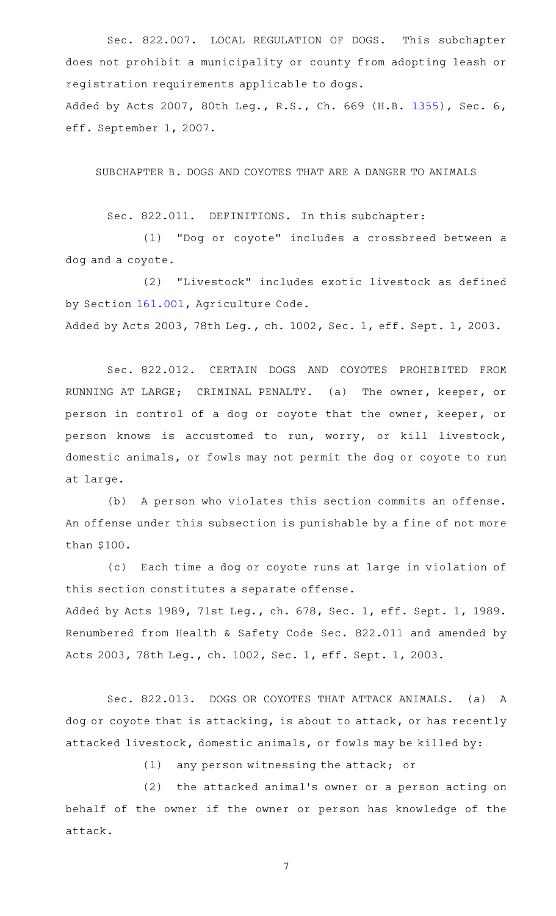Sec. 822.007. LOCAL REGULATION OF DOGS. This subchapter does not prohibit a municipality or county from adopting leash or registration requirements applicable to dogs. Added by Acts 2007, 80th Leg., R.S., Ch. 669 (H.B. [1355](http://www.legis.state.tx.us/tlodocs/80R/billtext/html/HB01355F.HTM)), Sec. 6, eff. September 1, 2007.

SUBCHAPTER B. DOGS AND COYOTES THAT ARE A DANGER TO ANIMALS

Sec. 822.011. DEFINITIONS. In this subchapter:

(1) "Dog or coyote" includes a crossbreed between a dog and a coyote.

(2) "Livestock" includes exotic livestock as defined by Section [161.001,](http://www.statutes.legis.state.tx.us/GetStatute.aspx?Code=AG&Value=161.001) Agriculture Code. Added by Acts 2003, 78th Leg., ch. 1002, Sec. 1, eff. Sept. 1, 2003.

Sec. 822.012. CERTAIN DOGS AND COYOTES PROHIBITED FROM RUNNING AT LARGE; CRIMINAL PENALTY. (a) The owner, keeper, or person in control of a dog or coyote that the owner, keeper, or person knows is accustomed to run, worry, or kill livestock, domestic animals, or fowls may not permit the dog or coyote to run at large.

(b) A person who violates this section commits an offense. An offense under this subsection is punishable by a fine of not more than \$100.

(c) Each time a dog or coyote runs at large in violation of this section constitutes a separate offense. Added by Acts 1989, 71st Leg., ch. 678, Sec. 1, eff. Sept. 1, 1989. Renumbered from Health & Safety Code Sec. 822.011 and amended by Acts 2003, 78th Leg., ch. 1002, Sec. 1, eff. Sept. 1, 2003.

Sec. 822.013. DOGS OR COYOTES THAT ATTACK ANIMALS. (a) A dog or coyote that is attacking, is about to attack, or has recently attacked livestock, domestic animals, or fowls may be killed by:

 $(1)$  any person witnessing the attack; or

(2) the attacked animal's owner or a person acting on behalf of the owner if the owner or person has knowledge of the attack.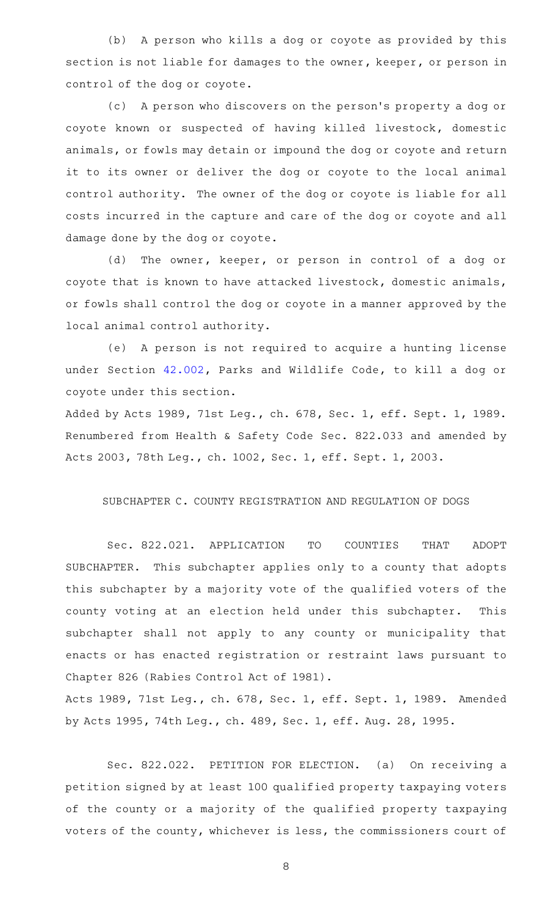(b) A person who kills a dog or coyote as provided by this section is not liable for damages to the owner, keeper, or person in control of the dog or coyote.

(c) A person who discovers on the person's property a dog or coyote known or suspected of having killed livestock, domestic animals, or fowls may detain or impound the dog or coyote and return it to its owner or deliver the dog or coyote to the local animal control authority. The owner of the dog or coyote is liable for all costs incurred in the capture and care of the dog or coyote and all damage done by the dog or coyote.

(d) The owner, keeper, or person in control of a dog or coyote that is known to have attacked livestock, domestic animals, or fowls shall control the dog or coyote in a manner approved by the local animal control authority.

(e) A person is not required to acquire a hunting license under Section [42.002,](http://www.statutes.legis.state.tx.us/GetStatute.aspx?Code=PW&Value=42.002) Parks and Wildlife Code, to kill a dog or coyote under this section.

Added by Acts 1989, 71st Leg., ch. 678, Sec. 1, eff. Sept. 1, 1989. Renumbered from Health & Safety Code Sec. 822.033 and amended by Acts 2003, 78th Leg., ch. 1002, Sec. 1, eff. Sept. 1, 2003.

#### SUBCHAPTER C. COUNTY REGISTRATION AND REGULATION OF DOGS

Sec. 822.021. APPLICATION TO COUNTIES THAT ADOPT SUBCHAPTER. This subchapter applies only to a county that adopts this subchapter by a majority vote of the qualified voters of the county voting at an election held under this subchapter. This subchapter shall not apply to any county or municipality that enacts or has enacted registration or restraint laws pursuant to Chapter 826 (Rabies Control Act of 1981).

Acts 1989, 71st Leg., ch. 678, Sec. 1, eff. Sept. 1, 1989. Amended by Acts 1995, 74th Leg., ch. 489, Sec. 1, eff. Aug. 28, 1995.

Sec. 822.022. PETITION FOR ELECTION. (a) On receiving a petition signed by at least 100 qualified property taxpaying voters of the county or a majority of the qualified property taxpaying voters of the county, whichever is less, the commissioners court of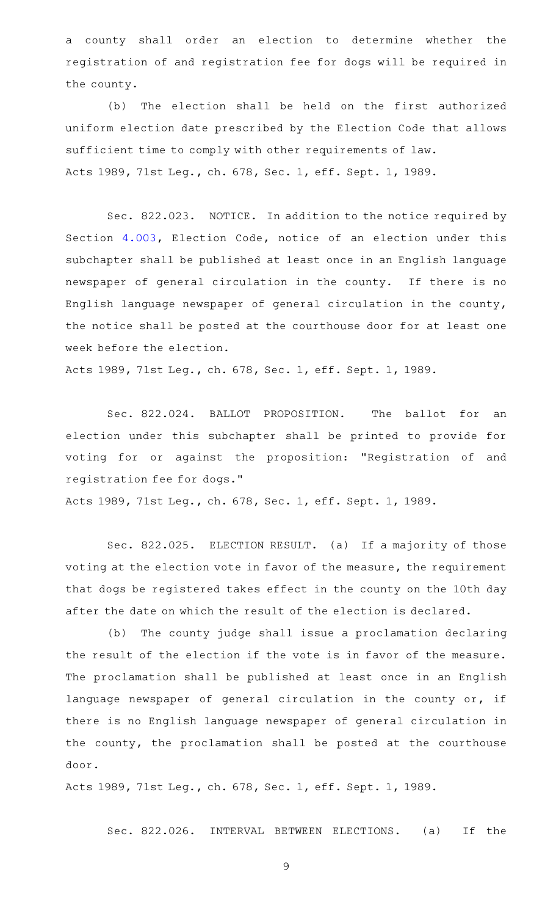a county shall order an election to determine whether the registration of and registration fee for dogs will be required in the county.

(b) The election shall be held on the first authorized uniform election date prescribed by the Election Code that allows sufficient time to comply with other requirements of law. Acts 1989, 71st Leg., ch. 678, Sec. 1, eff. Sept. 1, 1989.

Sec. 822.023. NOTICE. In addition to the notice required by Section [4.003](http://www.statutes.legis.state.tx.us/GetStatute.aspx?Code=EL&Value=4.003), Election Code, notice of an election under this subchapter shall be published at least once in an English language newspaper of general circulation in the county. If there is no English language newspaper of general circulation in the county, the notice shall be posted at the courthouse door for at least one week before the election.

Acts 1989, 71st Leg., ch. 678, Sec. 1, eff. Sept. 1, 1989.

Sec. 822.024. BALLOT PROPOSITION. The ballot for an election under this subchapter shall be printed to provide for voting for or against the proposition: "Registration of and registration fee for dogs."

Acts 1989, 71st Leg., ch. 678, Sec. 1, eff. Sept. 1, 1989.

Sec. 822.025. ELECTION RESULT. (a) If a majority of those voting at the election vote in favor of the measure, the requirement that dogs be registered takes effect in the county on the 10th day after the date on which the result of the election is declared.

(b) The county judge shall issue a proclamation declaring the result of the election if the vote is in favor of the measure. The proclamation shall be published at least once in an English language newspaper of general circulation in the county or, if there is no English language newspaper of general circulation in the county, the proclamation shall be posted at the courthouse door.

Acts 1989, 71st Leg., ch. 678, Sec. 1, eff. Sept. 1, 1989.

Sec. 822.026. INTERVAL BETWEEN ELECTIONS. (a) If the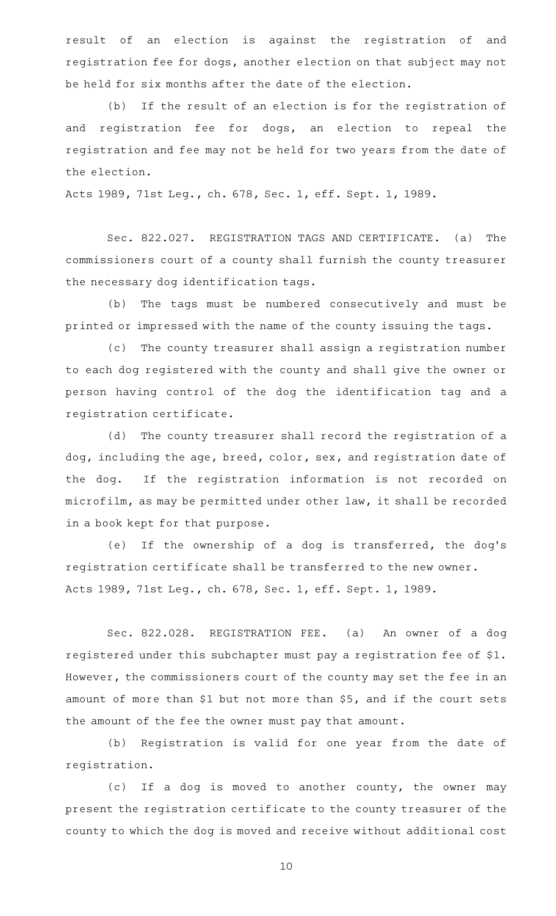result of an election is against the registration of and registration fee for dogs, another election on that subject may not be held for six months after the date of the election.

(b) If the result of an election is for the registration of and registration fee for dogs, an election to repeal the registration and fee may not be held for two years from the date of the election.

Acts 1989, 71st Leg., ch. 678, Sec. 1, eff. Sept. 1, 1989.

Sec. 822.027. REGISTRATION TAGS AND CERTIFICATE. (a) The commissioners court of a county shall furnish the county treasurer the necessary dog identification tags.

(b) The tags must be numbered consecutively and must be printed or impressed with the name of the county issuing the tags.

(c) The county treasurer shall assign a registration number to each dog registered with the county and shall give the owner or person having control of the dog the identification tag and a registration certificate.

(d) The county treasurer shall record the registration of a dog, including the age, breed, color, sex, and registration date of the dog. If the registration information is not recorded on microfilm, as may be permitted under other law, it shall be recorded in a book kept for that purpose.

(e) If the ownership of a dog is transferred, the dog's registration certificate shall be transferred to the new owner. Acts 1989, 71st Leg., ch. 678, Sec. 1, eff. Sept. 1, 1989.

Sec. 822.028. REGISTRATION FEE. (a) An owner of a dog registered under this subchapter must pay a registration fee of \$1. However, the commissioners court of the county may set the fee in an amount of more than \$1 but not more than \$5, and if the court sets the amount of the fee the owner must pay that amount.

(b) Registration is valid for one year from the date of registration.

(c) If a dog is moved to another county, the owner may present the registration certificate to the county treasurer of the county to which the dog is moved and receive without additional cost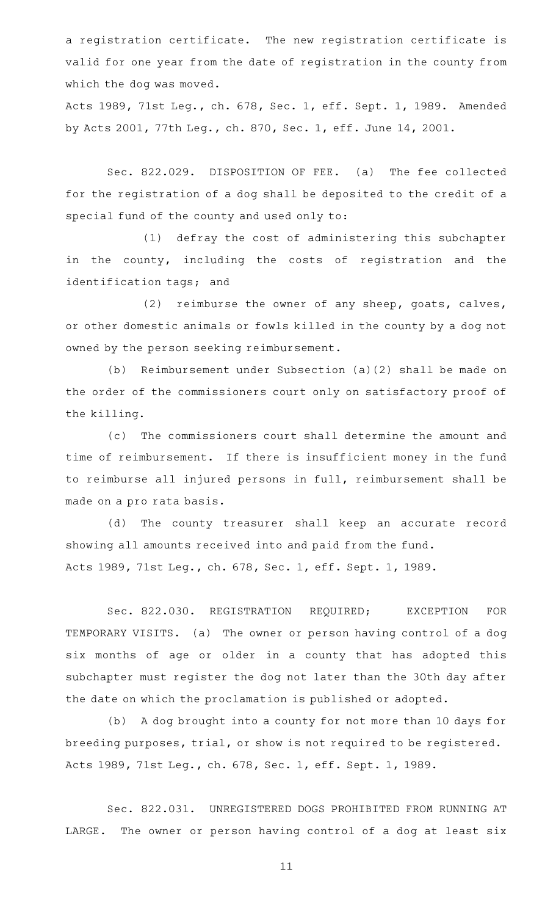a registration certificate. The new registration certificate is valid for one year from the date of registration in the county from which the dog was moved.

Acts 1989, 71st Leg., ch. 678, Sec. 1, eff. Sept. 1, 1989. Amended by Acts 2001, 77th Leg., ch. 870, Sec. 1, eff. June 14, 2001.

Sec. 822.029. DISPOSITION OF FEE. (a) The fee collected for the registration of a dog shall be deposited to the credit of a special fund of the county and used only to:

(1) defray the cost of administering this subchapter in the county, including the costs of registration and the identification tags; and

(2) reimburse the owner of any sheep, goats, calves, or other domestic animals or fowls killed in the county by a dog not owned by the person seeking reimbursement.

(b) Reimbursement under Subsection  $(a)(2)$  shall be made on the order of the commissioners court only on satisfactory proof of the killing.

(c) The commissioners court shall determine the amount and time of reimbursement. If there is insufficient money in the fund to reimburse all injured persons in full, reimbursement shall be made on a pro rata basis.

(d) The county treasurer shall keep an accurate record showing all amounts received into and paid from the fund. Acts 1989, 71st Leg., ch. 678, Sec. 1, eff. Sept. 1, 1989.

Sec. 822.030. REGISTRATION REQUIRED; EXCEPTION FOR TEMPORARY VISITS. (a) The owner or person having control of a dog six months of age or older in a county that has adopted this subchapter must register the dog not later than the 30th day after the date on which the proclamation is published or adopted.

(b) A dog brought into a county for not more than 10 days for breeding purposes, trial, or show is not required to be registered. Acts 1989, 71st Leg., ch. 678, Sec. 1, eff. Sept. 1, 1989.

Sec. 822.031. UNREGISTERED DOGS PROHIBITED FROM RUNNING AT LARGE. The owner or person having control of a dog at least six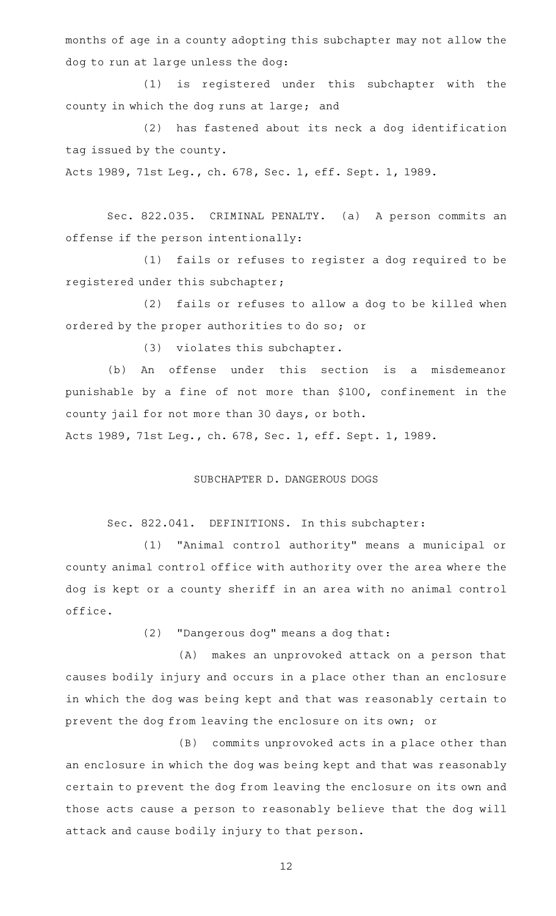months of age in a county adopting this subchapter may not allow the dog to run at large unless the dog:

(1) is registered under this subchapter with the county in which the dog runs at large; and

(2) has fastened about its neck a dog identification tag issued by the county.

Acts 1989, 71st Leg., ch. 678, Sec. 1, eff. Sept. 1, 1989.

Sec. 822.035. CRIMINAL PENALTY. (a) A person commits an offense if the person intentionally:

(1) fails or refuses to register a dog required to be registered under this subchapter;

(2) fails or refuses to allow a dog to be killed when ordered by the proper authorities to do so; or

(3) violates this subchapter.

(b) An offense under this section is a misdemeanor punishable by a fine of not more than \$100, confinement in the county jail for not more than 30 days, or both.

Acts 1989, 71st Leg., ch. 678, Sec. 1, eff. Sept. 1, 1989.

#### SUBCHAPTER D. DANGEROUS DOGS

#### Sec. 822.041. DEFINITIONS. In this subchapter:

(1) "Animal control authority" means a municipal or county animal control office with authority over the area where the dog is kept or a county sheriff in an area with no animal control office.

(2) "Dangerous dog" means a dog that:

(A) makes an unprovoked attack on a person that causes bodily injury and occurs in a place other than an enclosure in which the dog was being kept and that was reasonably certain to prevent the dog from leaving the enclosure on its own; or

(B) commits unprovoked acts in a place other than an enclosure in which the dog was being kept and that was reasonably certain to prevent the dog from leaving the enclosure on its own and those acts cause a person to reasonably believe that the dog will attack and cause bodily injury to that person.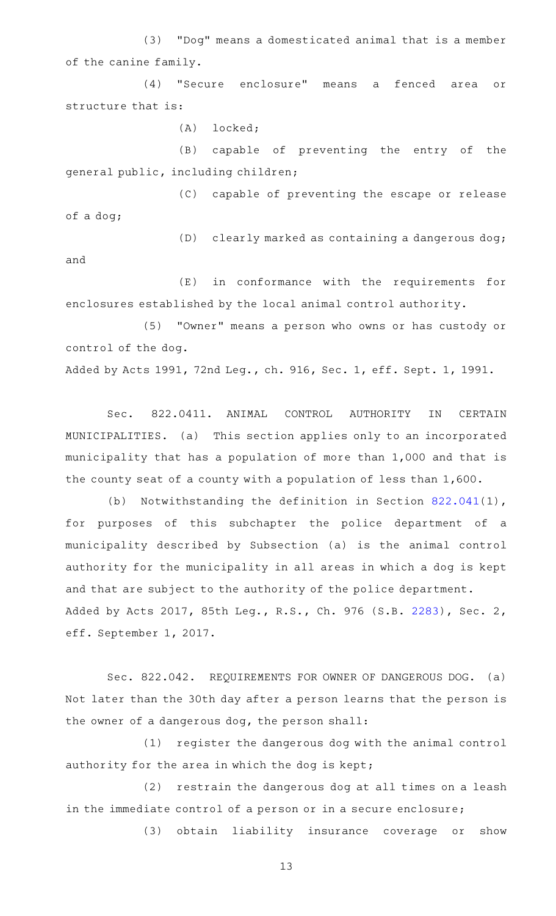(3) "Dog" means a domesticated animal that is a member of the canine family.

(4) "Secure enclosure" means a fenced area or structure that is:

(A) locked;

(B) capable of preventing the entry of the general public, including children;

(C) capable of preventing the escape or release of a dog;

(D) clearly marked as containing a dangerous dog;

and

(E) in conformance with the requirements for enclosures established by the local animal control authority.

(5) "Owner" means a person who owns or has custody or control of the dog.

Added by Acts 1991, 72nd Leg., ch. 916, Sec. 1, eff. Sept. 1, 1991.

Sec. 822.0411. ANIMAL CONTROL AUTHORITY IN CERTAIN MUNICIPALITIES. (a) This section applies only to an incorporated municipality that has a population of more than 1,000 and that is the county seat of a county with a population of less than 1,600.

(b) Notwithstanding the definition in Section  $822.041(1)$  $822.041(1)$ , for purposes of this subchapter the police department of a municipality described by Subsection (a) is the animal control authority for the municipality in all areas in which a dog is kept and that are subject to the authority of the police department. Added by Acts 2017, 85th Leg., R.S., Ch. 976 (S.B. [2283](http://www.legis.state.tx.us/tlodocs/85R/billtext/html/SB02283F.HTM)), Sec. 2, eff. September 1, 2017.

Sec. 822.042. REQUIREMENTS FOR OWNER OF DANGEROUS DOG. (a) Not later than the 30th day after a person learns that the person is the owner of a dangerous dog, the person shall:

(1) register the dangerous dog with the animal control authority for the area in which the dog is kept;

(2) restrain the dangerous dog at all times on a leash in the immediate control of a person or in a secure enclosure;

(3) obtain liability insurance coverage or show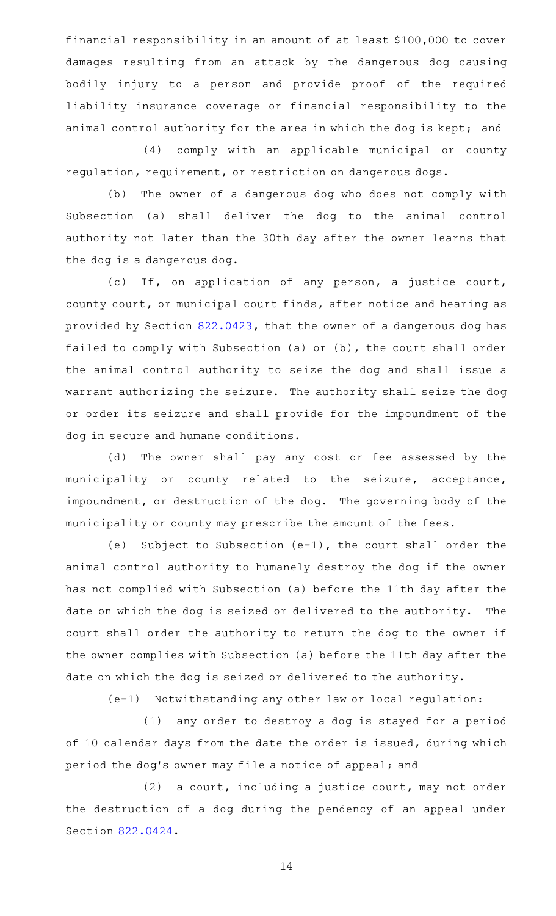financial responsibility in an amount of at least \$100,000 to cover damages resulting from an attack by the dangerous dog causing bodily injury to a person and provide proof of the required liability insurance coverage or financial responsibility to the animal control authority for the area in which the dog is kept; and

(4) comply with an applicable municipal or county regulation, requirement, or restriction on dangerous dogs.

(b) The owner of a dangerous dog who does not comply with Subsection (a) shall deliver the dog to the animal control authority not later than the 30th day after the owner learns that the dog is a dangerous dog.

(c) If, on application of any person, a justice court, county court, or municipal court finds, after notice and hearing as provided by Section [822.0423,](http://www.statutes.legis.state.tx.us/GetStatute.aspx?Code=HS&Value=822.0423) that the owner of a dangerous dog has failed to comply with Subsection (a) or (b), the court shall order the animal control authority to seize the dog and shall issue a warrant authorizing the seizure. The authority shall seize the dog or order its seizure and shall provide for the impoundment of the dog in secure and humane conditions.

(d) The owner shall pay any cost or fee assessed by the municipality or county related to the seizure, acceptance, impoundment, or destruction of the dog. The governing body of the municipality or county may prescribe the amount of the fees.

(e) Subject to Subsection (e-1), the court shall order the animal control authority to humanely destroy the dog if the owner has not complied with Subsection (a) before the 11th day after the date on which the dog is seized or delivered to the authority. The court shall order the authority to return the dog to the owner if the owner complies with Subsection (a) before the 11th day after the date on which the dog is seized or delivered to the authority.

(e-1) Notwithstanding any other law or local regulation:

(1) any order to destroy a dog is stayed for a period of 10 calendar days from the date the order is issued, during which period the dog's owner may file a notice of appeal; and

 $(2)$  a court, including a justice court, may not order the destruction of a dog during the pendency of an appeal under Section [822.0424](http://www.statutes.legis.state.tx.us/GetStatute.aspx?Code=HS&Value=822.0424).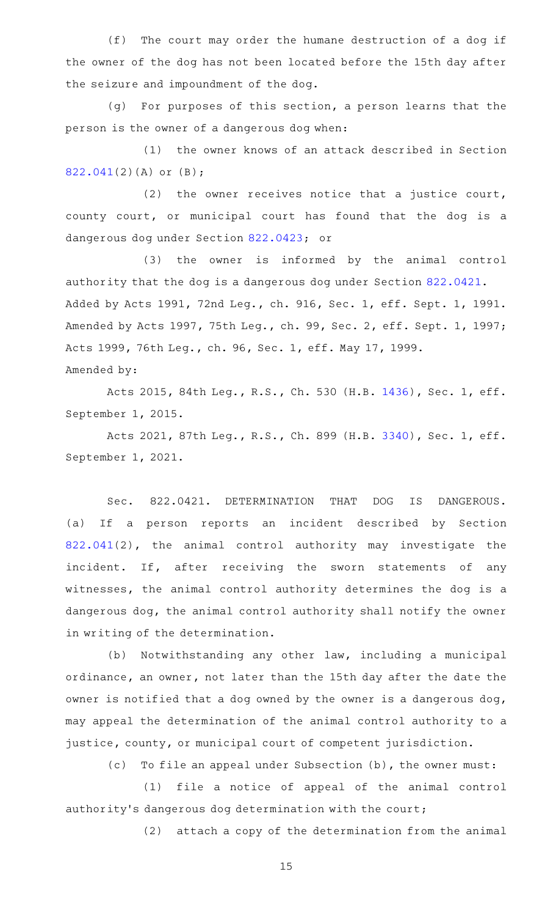(f) The court may order the humane destruction of a dog if the owner of the dog has not been located before the 15th day after the seizure and impoundment of the dog.

(g) For purposes of this section, a person learns that the person is the owner of a dangerous dog when:

(1) the owner knows of an attack described in Section [822.041\(](http://www.statutes.legis.state.tx.us/GetStatute.aspx?Code=HS&Value=822.041)2)(A) or (B);

(2) the owner receives notice that a justice court, county court, or municipal court has found that the dog is a dangerous dog under Section [822.0423;](http://www.statutes.legis.state.tx.us/GetStatute.aspx?Code=HS&Value=822.0423) or

(3) the owner is informed by the animal control authority that the dog is a dangerous dog under Section [822.0421.](http://www.statutes.legis.state.tx.us/GetStatute.aspx?Code=HS&Value=822.0421) Added by Acts 1991, 72nd Leg., ch. 916, Sec. 1, eff. Sept. 1, 1991. Amended by Acts 1997, 75th Leg., ch. 99, Sec. 2, eff. Sept. 1, 1997; Acts 1999, 76th Leg., ch. 96, Sec. 1, eff. May 17, 1999. Amended by:

Acts 2015, 84th Leg., R.S., Ch. 530 (H.B. [1436](http://www.legis.state.tx.us/tlodocs/84R/billtext/html/HB01436F.HTM)), Sec. 1, eff. September 1, 2015.

Acts 2021, 87th Leg., R.S., Ch. 899 (H.B. [3340](http://www.legis.state.tx.us/tlodocs/87R/billtext/html/HB03340F.HTM)), Sec. 1, eff. September 1, 2021.

Sec. 822.0421. DETERMINATION THAT DOG IS DANGEROUS. (a) If a person reports an incident described by Section [822.041\(](http://www.statutes.legis.state.tx.us/GetStatute.aspx?Code=HS&Value=822.041)2), the animal control authority may investigate the incident. If, after receiving the sworn statements of any witnesses, the animal control authority determines the dog is a dangerous dog, the animal control authority shall notify the owner in writing of the determination.

(b) Notwithstanding any other law, including a municipal ordinance, an owner, not later than the 15th day after the date the owner is notified that a dog owned by the owner is a dangerous dog, may appeal the determination of the animal control authority to a justice, county, or municipal court of competent jurisdiction.

(c) To file an appeal under Subsection (b), the owner must:

(1) file a notice of appeal of the animal control authority's dangerous dog determination with the court;

(2) attach a copy of the determination from the animal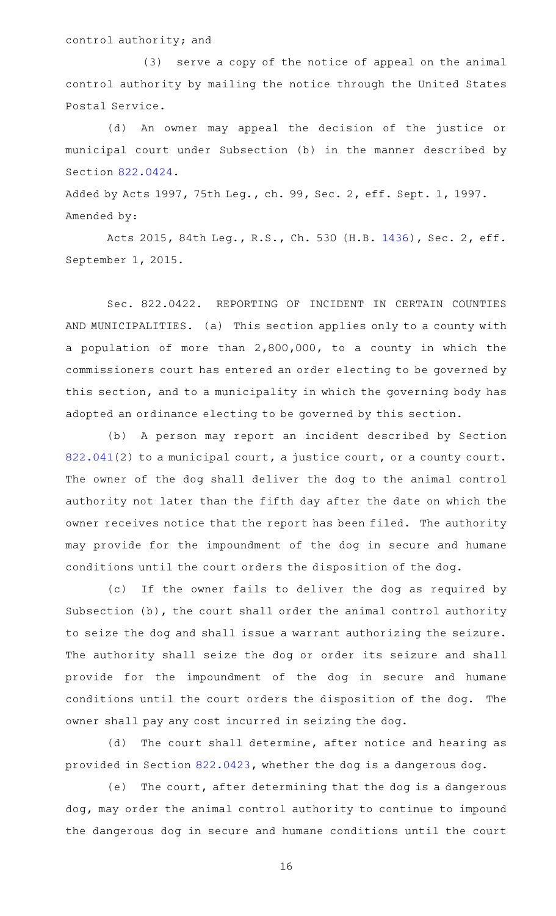### control authority; and

(3) serve a copy of the notice of appeal on the animal control authority by mailing the notice through the United States Postal Service.

(d) An owner may appeal the decision of the justice or municipal court under Subsection (b) in the manner described by Section [822.0424](http://www.statutes.legis.state.tx.us/GetStatute.aspx?Code=HS&Value=822.0424).

Added by Acts 1997, 75th Leg., ch. 99, Sec. 2, eff. Sept. 1, 1997. Amended by:

Acts 2015, 84th Leg., R.S., Ch. 530 (H.B. [1436](http://www.legis.state.tx.us/tlodocs/84R/billtext/html/HB01436F.HTM)), Sec. 2, eff. September 1, 2015.

Sec. 822.0422. REPORTING OF INCIDENT IN CERTAIN COUNTIES AND MUNICIPALITIES. (a) This section applies only to a county with a population of more than 2,800,000, to a county in which the commissioners court has entered an order electing to be governed by this section, and to a municipality in which the governing body has adopted an ordinance electing to be governed by this section.

(b) A person may report an incident described by Section [822.041\(](http://www.statutes.legis.state.tx.us/GetStatute.aspx?Code=HS&Value=822.041)2) to a municipal court, a justice court, or a county court. The owner of the dog shall deliver the dog to the animal control authority not later than the fifth day after the date on which the owner receives notice that the report has been filed. The authority may provide for the impoundment of the dog in secure and humane conditions until the court orders the disposition of the dog.

(c) If the owner fails to deliver the dog as required by Subsection (b), the court shall order the animal control authority to seize the dog and shall issue a warrant authorizing the seizure. The authority shall seize the dog or order its seizure and shall provide for the impoundment of the dog in secure and humane conditions until the court orders the disposition of the dog. The owner shall pay any cost incurred in seizing the dog.

(d) The court shall determine, after notice and hearing as provided in Section [822.0423,](http://www.statutes.legis.state.tx.us/GetStatute.aspx?Code=HS&Value=822.0423) whether the dog is a dangerous dog.

(e) The court, after determining that the dog is a dangerous dog, may order the animal control authority to continue to impound the dangerous dog in secure and humane conditions until the court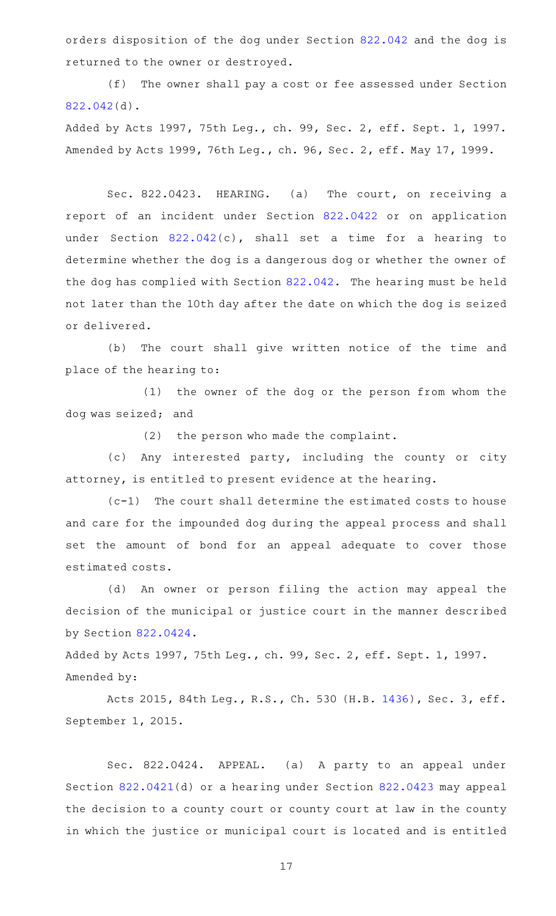orders disposition of the dog under Section [822.042](http://www.statutes.legis.state.tx.us/GetStatute.aspx?Code=HS&Value=822.042) and the dog is returned to the owner or destroyed.

(f) The owner shall pay a cost or fee assessed under Section [822.042\(](http://www.statutes.legis.state.tx.us/GetStatute.aspx?Code=HS&Value=822.042)d).

Added by Acts 1997, 75th Leg., ch. 99, Sec. 2, eff. Sept. 1, 1997. Amended by Acts 1999, 76th Leg., ch. 96, Sec. 2, eff. May 17, 1999.

Sec. 822.0423. HEARING. (a) The court, on receiving a report of an incident under Section [822.0422](http://www.statutes.legis.state.tx.us/GetStatute.aspx?Code=HS&Value=822.0422) or on application under Section [822.042\(](http://www.statutes.legis.state.tx.us/GetStatute.aspx?Code=HS&Value=822.042)c), shall set a time for a hearing to determine whether the dog is a dangerous dog or whether the owner of the dog has complied with Section [822.042.](http://www.statutes.legis.state.tx.us/GetStatute.aspx?Code=HS&Value=822.042) The hearing must be held not later than the 10th day after the date on which the dog is seized or delivered.

(b) The court shall give written notice of the time and place of the hearing to:

(1) the owner of the dog or the person from whom the dog was seized; and

 $(2)$  the person who made the complaint.

(c) Any interested party, including the county or city attorney, is entitled to present evidence at the hearing.

 $(c-1)$  The court shall determine the estimated costs to house and care for the impounded dog during the appeal process and shall set the amount of bond for an appeal adequate to cover those estimated costs.

(d) An owner or person filing the action may appeal the decision of the municipal or justice court in the manner described by Section [822.0424](http://www.statutes.legis.state.tx.us/GetStatute.aspx?Code=HS&Value=822.0424).

Added by Acts 1997, 75th Leg., ch. 99, Sec. 2, eff. Sept. 1, 1997. Amended by:

Acts 2015, 84th Leg., R.S., Ch. 530 (H.B. [1436](http://www.legis.state.tx.us/tlodocs/84R/billtext/html/HB01436F.HTM)), Sec. 3, eff. September 1, 2015.

Sec. 822.0424. APPEAL. (a) A party to an appeal under Section [822.0421](http://www.statutes.legis.state.tx.us/GetStatute.aspx?Code=HS&Value=822.0421)(d) or a hearing under Section [822.0423](http://www.statutes.legis.state.tx.us/GetStatute.aspx?Code=HS&Value=822.0423) may appeal the decision to a county court or county court at law in the county in which the justice or municipal court is located and is entitled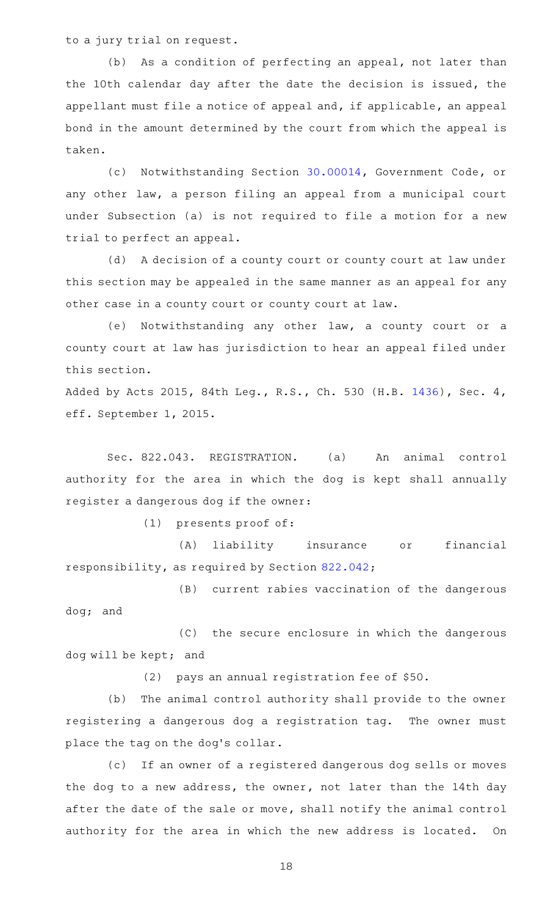to a jury trial on request.

(b) As a condition of perfecting an appeal, not later than the 10th calendar day after the date the decision is issued, the appellant must file a notice of appeal and, if applicable, an appeal bond in the amount determined by the court from which the appeal is taken.

(c) Notwithstanding Section [30.00014,](http://www.statutes.legis.state.tx.us/GetStatute.aspx?Code=GV&Value=30.00014) Government Code, or any other law, a person filing an appeal from a municipal court under Subsection (a) is not required to file a motion for a new trial to perfect an appeal.

(d) A decision of a county court or county court at law under this section may be appealed in the same manner as an appeal for any other case in a county court or county court at law.

(e) Notwithstanding any other law, a county court or a county court at law has jurisdiction to hear an appeal filed under this section.

Added by Acts 2015, 84th Leg., R.S., Ch. 530 (H.B. [1436](http://www.legis.state.tx.us/tlodocs/84R/billtext/html/HB01436F.HTM)), Sec. 4, eff. September 1, 2015.

Sec. 822.043. REGISTRATION. (a) An animal control authority for the area in which the dog is kept shall annually register a dangerous dog if the owner:

(1) presents proof of:

(A) liability insurance or financial responsibility, as required by Section [822.042;](http://www.statutes.legis.state.tx.us/GetStatute.aspx?Code=HS&Value=822.042)

(B) current rabies vaccination of the dangerous dog; and

(C) the secure enclosure in which the dangerous dog will be kept; and

(2) pays an annual registration fee of \$50.

(b) The animal control authority shall provide to the owner registering a dangerous dog a registration tag. The owner must place the tag on the dog's collar.

(c) If an owner of a registered dangerous dog sells or moves the dog to a new address, the owner, not later than the 14th day after the date of the sale or move, shall notify the animal control authority for the area in which the new address is located. On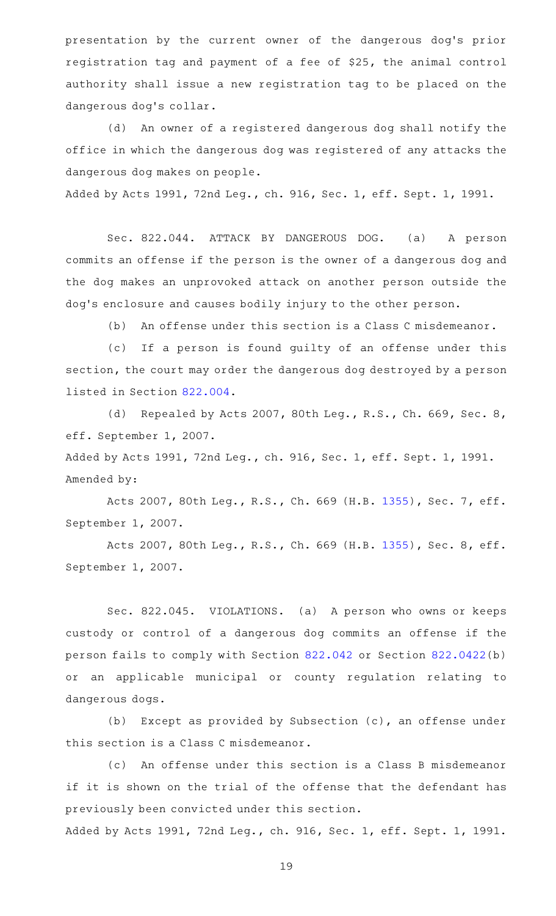presentation by the current owner of the dangerous dog's prior registration tag and payment of a fee of \$25, the animal control authority shall issue a new registration tag to be placed on the dangerous dog's collar.

(d) An owner of a registered dangerous dog shall notify the office in which the dangerous dog was registered of any attacks the dangerous dog makes on people.

Added by Acts 1991, 72nd Leg., ch. 916, Sec. 1, eff. Sept. 1, 1991.

Sec. 822.044. ATTACK BY DANGEROUS DOG. (a) A person commits an offense if the person is the owner of a dangerous dog and the dog makes an unprovoked attack on another person outside the dog's enclosure and causes bodily injury to the other person.

(b) An offense under this section is a Class C misdemeanor.

(c) If a person is found guilty of an offense under this section, the court may order the dangerous dog destroyed by a person listed in Section [822.004](http://www.statutes.legis.state.tx.us/GetStatute.aspx?Code=HS&Value=822.004).

(d) Repealed by Acts 2007, 80th Leg., R.S., Ch. 669, Sec. 8, eff. September 1, 2007.

Added by Acts 1991, 72nd Leg., ch. 916, Sec. 1, eff. Sept. 1, 1991. Amended by:

Acts 2007, 80th Leg., R.S., Ch. 669 (H.B. [1355](http://www.legis.state.tx.us/tlodocs/80R/billtext/html/HB01355F.HTM)), Sec. 7, eff. September 1, 2007.

Acts 2007, 80th Leg., R.S., Ch. 669 (H.B. [1355](http://www.legis.state.tx.us/tlodocs/80R/billtext/html/HB01355F.HTM)), Sec. 8, eff. September 1, 2007.

Sec. 822.045. VIOLATIONS. (a) A person who owns or keeps custody or control of a dangerous dog commits an offense if the person fails to comply with Section [822.042](http://www.statutes.legis.state.tx.us/GetStatute.aspx?Code=HS&Value=822.042) or Section [822.0422](http://www.statutes.legis.state.tx.us/GetStatute.aspx?Code=HS&Value=822.0422)(b) or an applicable municipal or county regulation relating to dangerous dogs.

(b) Except as provided by Subsection  $(c)$ , an offense under this section is a Class C misdemeanor.

(c) An offense under this section is a Class B misdemeanor if it is shown on the trial of the offense that the defendant has previously been convicted under this section.

Added by Acts 1991, 72nd Leg., ch. 916, Sec. 1, eff. Sept. 1, 1991.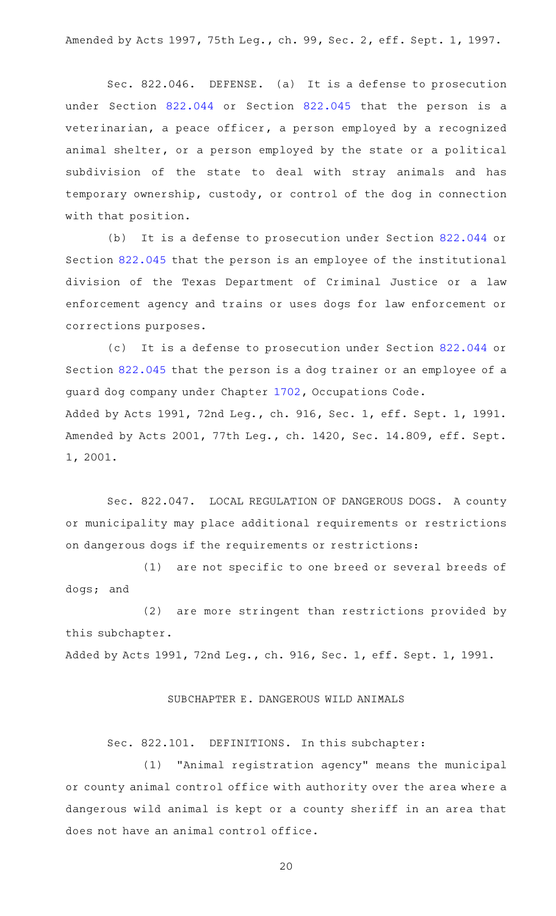Amended by Acts 1997, 75th Leg., ch. 99, Sec. 2, eff. Sept. 1, 1997.

Sec. 822.046. DEFENSE. (a) It is a defense to prosecution under Section [822.044](http://www.statutes.legis.state.tx.us/GetStatute.aspx?Code=HS&Value=822.044) or Section [822.045](http://www.statutes.legis.state.tx.us/GetStatute.aspx?Code=HS&Value=822.045) that the person is a veterinarian, a peace officer, a person employed by a recognized animal shelter, or a person employed by the state or a political subdivision of the state to deal with stray animals and has temporary ownership, custody, or control of the dog in connection with that position.

(b) It is a defense to prosecution under Section  $822.044$  or Section [822.045](http://www.statutes.legis.state.tx.us/GetStatute.aspx?Code=HS&Value=822.045) that the person is an employee of the institutional division of the Texas Department of Criminal Justice or a law enforcement agency and trains or uses dogs for law enforcement or corrections purposes.

(c) It is a defense to prosecution under Section [822.044](http://www.statutes.legis.state.tx.us/GetStatute.aspx?Code=HS&Value=822.044) or Section [822.045](http://www.statutes.legis.state.tx.us/GetStatute.aspx?Code=HS&Value=822.045) that the person is a dog trainer or an employee of a guard dog company under Chapter [1702](http://www.statutes.legis.state.tx.us/GetStatute.aspx?Code=OC&Value=1702), Occupations Code. Added by Acts 1991, 72nd Leg., ch. 916, Sec. 1, eff. Sept. 1, 1991. Amended by Acts 2001, 77th Leg., ch. 1420, Sec. 14.809, eff. Sept. 1, 2001.

Sec. 822.047. LOCAL REGULATION OF DANGEROUS DOGS. A county or municipality may place additional requirements or restrictions on dangerous dogs if the requirements or restrictions:

(1) are not specific to one breed or several breeds of dogs; and

(2) are more stringent than restrictions provided by this subchapter. Added by Acts 1991, 72nd Leg., ch. 916, Sec. 1, eff. Sept. 1, 1991.

#### SUBCHAPTER E. DANGEROUS WILD ANIMALS

Sec. 822.101. DEFINITIONS. In this subchapter:

(1) "Animal registration agency" means the municipal or county animal control office with authority over the area where a dangerous wild animal is kept or a county sheriff in an area that does not have an animal control office.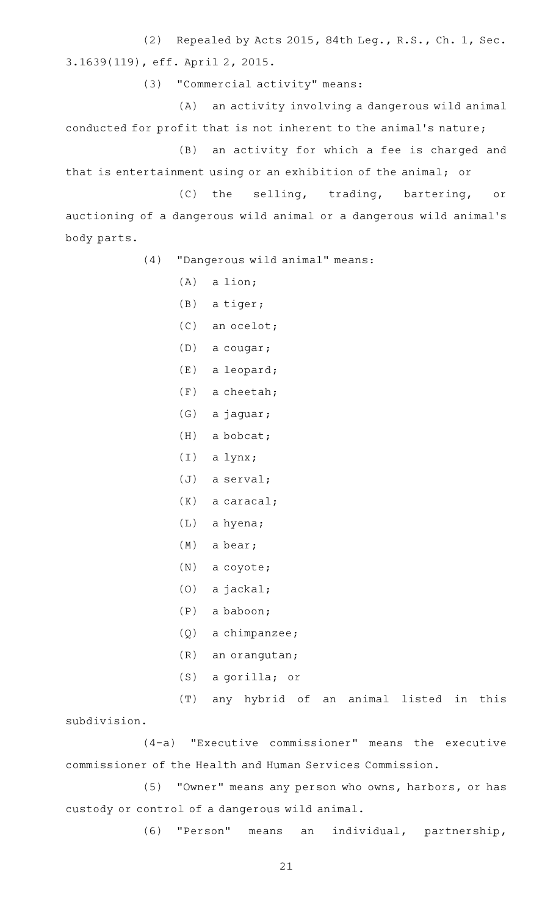(2) Repealed by Acts 2015, 84th Leg., R.S., Ch. 1, Sec. 3.1639(119), eff. April 2, 2015.

(3) "Commercial activity" means:

(A) an activity involving a dangerous wild animal conducted for profit that is not inherent to the animal 's nature;

(B) an activity for which a fee is charged and that is entertainment using or an exhibition of the animal; or

(C) the selling, trading, bartering, or auctioning of a dangerous wild animal or a dangerous wild animal 's body parts.

(4) "Dangerous wild animal" means:

- $(A)$  a lion;
- $(B)$  a tiger;
- (C) an ocelot;
- $(D)$  a cougar;
- $(E)$  a leopard;
- $(F)$  a cheetah;
- (G) a jaguar;
- $(H)$  a bobcat;
- $(I)$  a lynx;
- $(J)$  a serval;
- $(K)$  a caracal;
- $(L)$  a hyena;
- $(M)$  a bear;
- $(N)$  a coyote;
- $(0)$  a jackal;
- $(P)$  a baboon;
- $(Q)$  a chimpanzee;
- $(R)$  an orangutan;
- $(S)$  a gorilla; or
- (T) any hybrid of an animal listed in this

subdivision.

(4-a) "Executive commissioner" means the executive commissioner of the Health and Human Services Commission.

(5) "Owner" means any person who owns, harbors, or has custody or control of a dangerous wild animal.

(6) "Person" means an individual, partnership,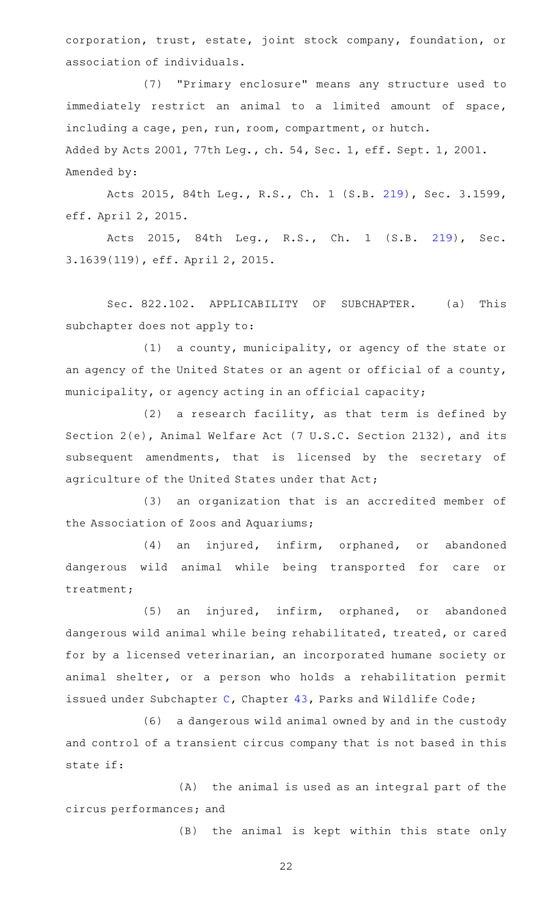corporation, trust, estate, joint stock company, foundation, or association of individuals.

(7) "Primary enclosure" means any structure used to immediately restrict an animal to a limited amount of space, including a cage, pen, run, room, compartment, or hutch. Added by Acts 2001, 77th Leg., ch. 54, Sec. 1, eff. Sept. 1, 2001. Amended by:

Acts 2015, 84th Leg., R.S., Ch. 1 (S.B. [219](http://www.legis.state.tx.us/tlodocs/84R/billtext/html/SB00219F.HTM)), Sec. 3.1599, eff. April 2, 2015.

Acts 2015, 84th Leg., R.S., Ch. 1 (S.B. [219](http://www.legis.state.tx.us/tlodocs/84R/billtext/html/SB00219F.HTM)), Sec. 3.1639(119), eff. April 2, 2015.

Sec. 822.102. APPLICABILITY OF SUBCHAPTER. (a) This subchapter does not apply to:

 $(1)$  a county, municipality, or agency of the state or an agency of the United States or an agent or official of a county, municipality, or agency acting in an official capacity;

 $(2)$  a research facility, as that term is defined by Section 2(e), Animal Welfare Act (7 U.S.C. Section 2132), and its subsequent amendments, that is licensed by the secretary of agriculture of the United States under that Act;

(3) an organization that is an accredited member of the Association of Zoos and Aquariums;

(4) an injured, infirm, orphaned, or abandoned dangerous wild animal while being transported for care or treatment;

 $(5)$  an injured, infirm, orphaned, or abandoned dangerous wild animal while being rehabilitated, treated, or cared for by a licensed veterinarian, an incorporated humane society or animal shelter, or a person who holds a rehabilitation permit issued under Subchapter [C](http://www.statutes.legis.state.tx.us/GetStatute.aspx?Code=PW&Value=43.021), Chapter [43,](http://www.statutes.legis.state.tx.us/GetStatute.aspx?Code=PW&Value=43) Parks and Wildlife Code;

(6) a dangerous wild animal owned by and in the custody and control of a transient circus company that is not based in this state if:

(A) the animal is used as an integral part of the circus performances; and

(B) the animal is kept within this state only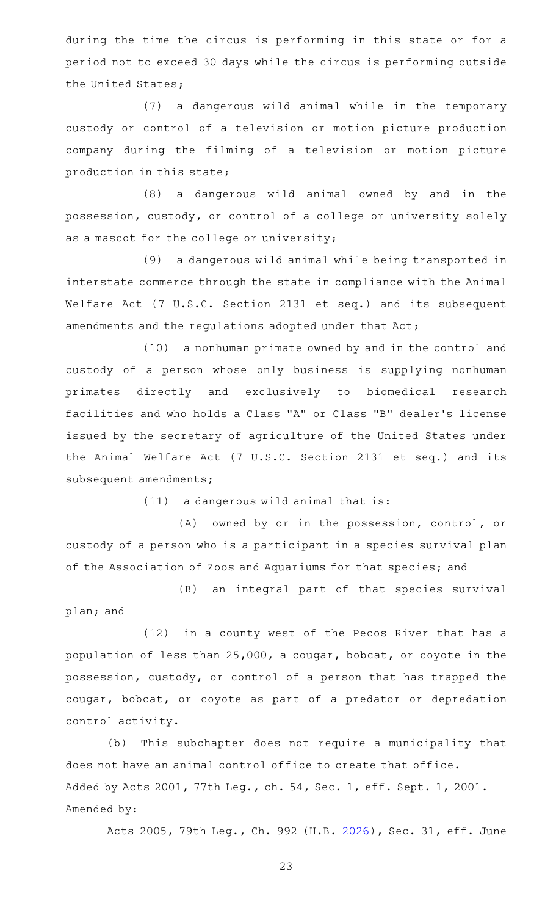during the time the circus is performing in this state or for a period not to exceed 30 days while the circus is performing outside the United States;

(7) a dangerous wild animal while in the temporary custody or control of a television or motion picture production company during the filming of a television or motion picture production in this state;

(8) a dangerous wild animal owned by and in the possession, custody, or control of a college or university solely as a mascot for the college or university;

(9) a dangerous wild animal while being transported in interstate commerce through the state in compliance with the Animal Welfare Act (7 U.S.C. Section 2131 et seq.) and its subsequent amendments and the regulations adopted under that Act;

(10) a nonhuman primate owned by and in the control and custody of a person whose only business is supplying nonhuman primates directly and exclusively to biomedical research facilities and who holds a Class "A" or Class "B" dealer 's license issued by the secretary of agriculture of the United States under the Animal Welfare Act (7 U.S.C. Section 2131 et seq.) and its subsequent amendments;

 $(11)$  a dangerous wild animal that is:

(A) owned by or in the possession, control, or custody of a person who is a participant in a species survival plan of the Association of Zoos and Aquariums for that species; and

(B) an integral part of that species survival plan; and

(12) in a county west of the Pecos River that has a population of less than 25,000, a cougar, bobcat, or coyote in the possession, custody, or control of a person that has trapped the cougar, bobcat, or coyote as part of a predator or depredation control activity.

(b) This subchapter does not require a municipality that does not have an animal control office to create that office. Added by Acts 2001, 77th Leg., ch. 54, Sec. 1, eff. Sept. 1, 2001. Amended by:

Acts 2005, 79th Leg., Ch. 992 (H.B. [2026\)](http://www.legis.state.tx.us/tlodocs/79R/billtext/html/HB02026F.HTM), Sec. 31, eff. June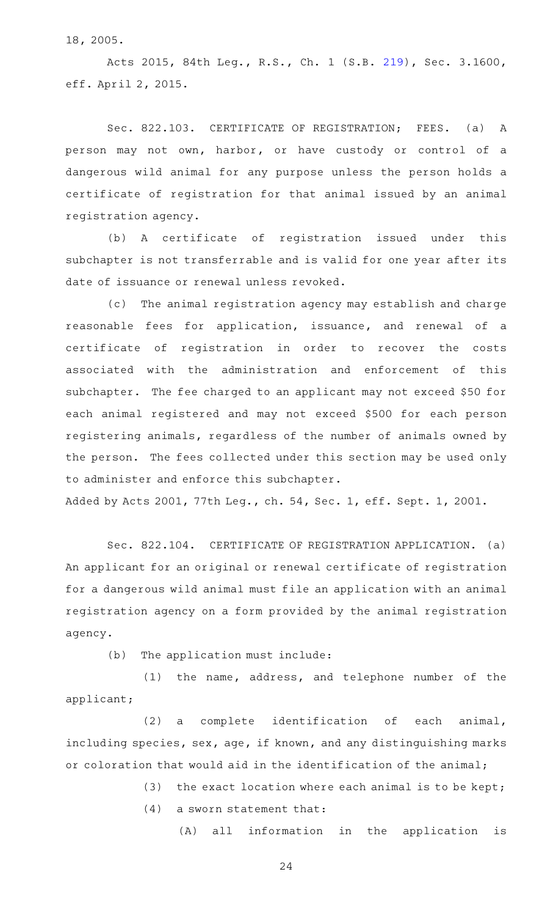18, 2005.

Acts 2015, 84th Leg., R.S., Ch. 1 (S.B. [219](http://www.legis.state.tx.us/tlodocs/84R/billtext/html/SB00219F.HTM)), Sec. 3.1600, eff. April 2, 2015.

Sec. 822.103. CERTIFICATE OF REGISTRATION; FEES. (a) A person may not own, harbor, or have custody or control of a dangerous wild animal for any purpose unless the person holds a certificate of registration for that animal issued by an animal registration agency.

(b) A certificate of registration issued under this subchapter is not transferrable and is valid for one year after its date of issuance or renewal unless revoked.

(c) The animal registration agency may establish and charge reasonable fees for application, issuance, and renewal of a certificate of registration in order to recover the costs associated with the administration and enforcement of this subchapter. The fee charged to an applicant may not exceed \$50 for each animal registered and may not exceed \$500 for each person registering animals, regardless of the number of animals owned by the person. The fees collected under this section may be used only to administer and enforce this subchapter.

Added by Acts 2001, 77th Leg., ch. 54, Sec. 1, eff. Sept. 1, 2001.

Sec. 822.104. CERTIFICATE OF REGISTRATION APPLICATION. (a) An applicant for an original or renewal certificate of registration for a dangerous wild animal must file an application with an animal registration agency on a form provided by the animal registration agency.

 $(b)$  The application must include:

 $(1)$  the name, address, and telephone number of the applicant;

(2) a complete identification of each animal, including species, sex, age, if known, and any distinguishing marks or coloration that would aid in the identification of the animal;

(3) the exact location where each animal is to be kept;

 $(4)$  a sworn statement that:

(A) all information in the application is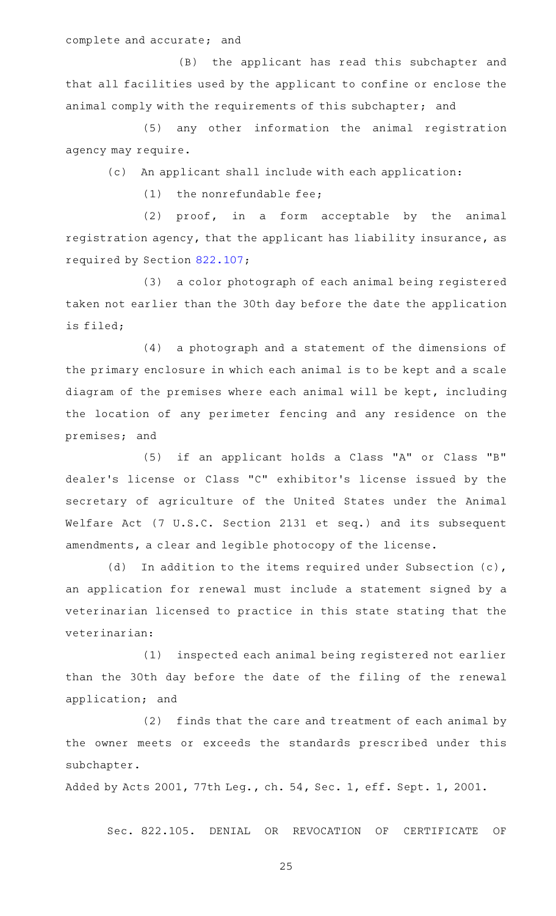complete and accurate; and

(B) the applicant has read this subchapter and that all facilities used by the applicant to confine or enclose the animal comply with the requirements of this subchapter; and

(5) any other information the animal registration agency may require.

(c) An applicant shall include with each application:

 $(1)$  the nonrefundable fee;

 $(2)$  proof, in a form acceptable by the animal registration agency, that the applicant has liability insurance, as required by Section [822.107](http://www.statutes.legis.state.tx.us/GetStatute.aspx?Code=HS&Value=822.107);

(3) a color photograph of each animal being registered taken not earlier than the 30th day before the date the application is filed;

(4) a photograph and a statement of the dimensions of the primary enclosure in which each animal is to be kept and a scale diagram of the premises where each animal will be kept, including the location of any perimeter fencing and any residence on the premises; and

(5) if an applicant holds a Class "A" or Class "B" dealer 's license or Class "C" exhibitor 's license issued by the secretary of agriculture of the United States under the Animal Welfare Act (7 U.S.C. Section 2131 et seq.) and its subsequent amendments, a clear and legible photocopy of the license.

(d) In addition to the items required under Subsection (c), an application for renewal must include a statement signed by a veterinarian licensed to practice in this state stating that the veterinarian:

(1) inspected each animal being registered not earlier than the 30th day before the date of the filing of the renewal application; and

(2) finds that the care and treatment of each animal by the owner meets or exceeds the standards prescribed under this subchapter.

Added by Acts 2001, 77th Leg., ch. 54, Sec. 1, eff. Sept. 1, 2001.

Sec. 822.105. DENIAL OR REVOCATION OF CERTIFICATE OF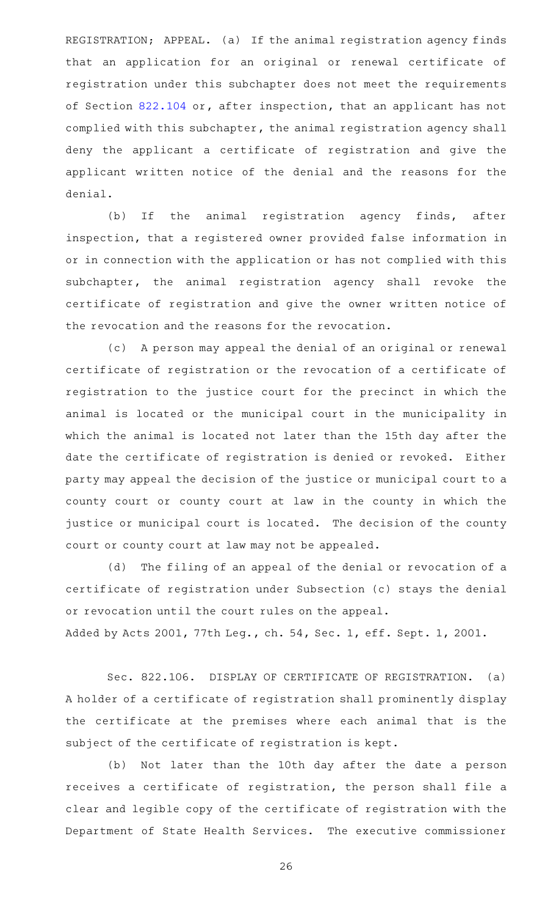REGISTRATION; APPEAL. (a) If the animal registration agency finds that an application for an original or renewal certificate of registration under this subchapter does not meet the requirements of Section [822.104](http://www.statutes.legis.state.tx.us/GetStatute.aspx?Code=HS&Value=822.104) or, after inspection, that an applicant has not complied with this subchapter, the animal registration agency shall deny the applicant a certificate of registration and give the applicant written notice of the denial and the reasons for the denial.

(b) If the animal registration agency finds, after inspection, that a registered owner provided false information in or in connection with the application or has not complied with this subchapter, the animal registration agency shall revoke the certificate of registration and give the owner written notice of the revocation and the reasons for the revocation.

(c) A person may appeal the denial of an original or renewal certificate of registration or the revocation of a certificate of registration to the justice court for the precinct in which the animal is located or the municipal court in the municipality in which the animal is located not later than the 15th day after the date the certificate of registration is denied or revoked. Either party may appeal the decision of the justice or municipal court to a county court or county court at law in the county in which the justice or municipal court is located. The decision of the county court or county court at law may not be appealed.

(d) The filing of an appeal of the denial or revocation of a certificate of registration under Subsection (c) stays the denial or revocation until the court rules on the appeal. Added by Acts 2001, 77th Leg., ch. 54, Sec. 1, eff. Sept. 1, 2001.

Sec. 822.106. DISPLAY OF CERTIFICATE OF REGISTRATION. (a) A holder of a certificate of registration shall prominently display the certificate at the premises where each animal that is the subject of the certificate of registration is kept.

(b) Not later than the 10th day after the date a person receives a certificate of registration, the person shall file a clear and legible copy of the certificate of registration with the Department of State Health Services. The executive commissioner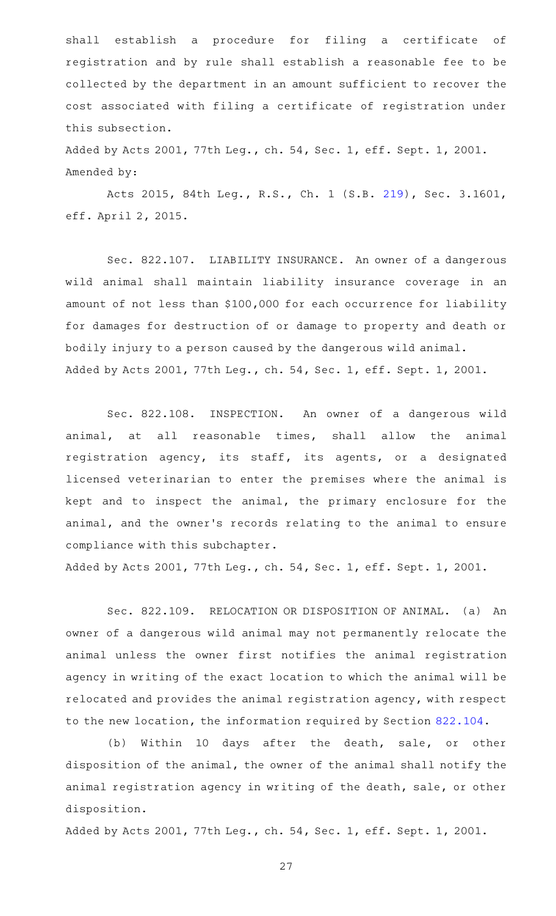shall establish a procedure for filing a certificate of registration and by rule shall establish a reasonable fee to be collected by the department in an amount sufficient to recover the cost associated with filing a certificate of registration under this subsection.

Added by Acts 2001, 77th Leg., ch. 54, Sec. 1, eff. Sept. 1, 2001. Amended by:

Acts 2015, 84th Leg., R.S., Ch. 1 (S.B. [219](http://www.legis.state.tx.us/tlodocs/84R/billtext/html/SB00219F.HTM)), Sec. 3.1601, eff. April 2, 2015.

Sec. 822.107. LIABILITY INSURANCE. An owner of a dangerous wild animal shall maintain liability insurance coverage in an amount of not less than \$100,000 for each occurrence for liability for damages for destruction of or damage to property and death or bodily injury to a person caused by the dangerous wild animal. Added by Acts 2001, 77th Leg., ch. 54, Sec. 1, eff. Sept. 1, 2001.

Sec. 822.108. INSPECTION. An owner of a dangerous wild animal, at all reasonable times, shall allow the animal registration agency, its staff, its agents, or a designated licensed veterinarian to enter the premises where the animal is kept and to inspect the animal, the primary enclosure for the animal, and the owner 's records relating to the animal to ensure compliance with this subchapter.

Added by Acts 2001, 77th Leg., ch. 54, Sec. 1, eff. Sept. 1, 2001.

Sec. 822.109. RELOCATION OR DISPOSITION OF ANIMAL. (a) An owner of a dangerous wild animal may not permanently relocate the animal unless the owner first notifies the animal registration agency in writing of the exact location to which the animal will be relocated and provides the animal registration agency, with respect to the new location, the information required by Section [822.104](http://www.statutes.legis.state.tx.us/GetStatute.aspx?Code=HS&Value=822.104).

(b) Within 10 days after the death, sale, or other disposition of the animal, the owner of the animal shall notify the animal registration agency in writing of the death, sale, or other disposition.

Added by Acts 2001, 77th Leg., ch. 54, Sec. 1, eff. Sept. 1, 2001.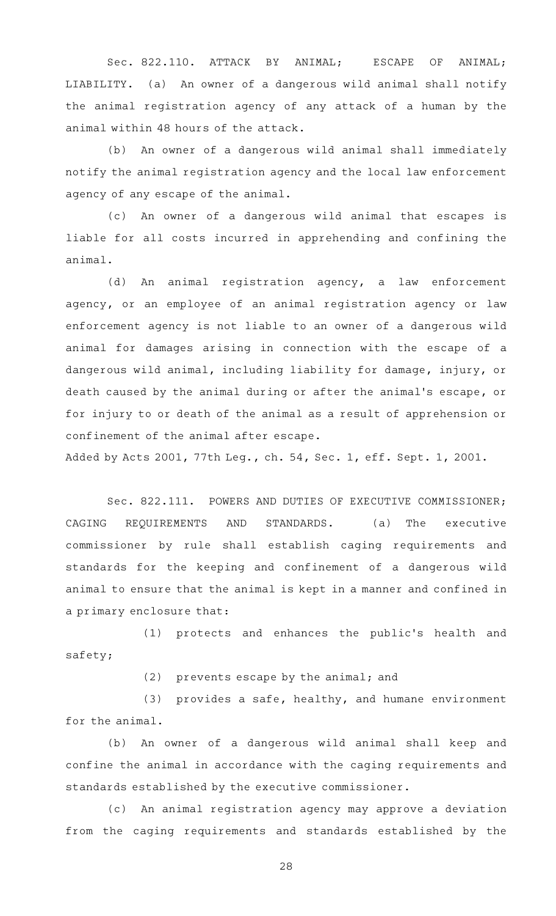Sec. 822.110. ATTACK BY ANIMAL; ESCAPE OF ANIMAL; LIABILITY. (a) An owner of a dangerous wild animal shall notify the animal registration agency of any attack of a human by the animal within 48 hours of the attack.

(b) An owner of a dangerous wild animal shall immediately notify the animal registration agency and the local law enforcement agency of any escape of the animal.

(c) An owner of a dangerous wild animal that escapes is liable for all costs incurred in apprehending and confining the animal.

(d) An animal registration agency, a law enforcement agency, or an employee of an animal registration agency or law enforcement agency is not liable to an owner of a dangerous wild animal for damages arising in connection with the escape of a dangerous wild animal, including liability for damage, injury, or death caused by the animal during or after the animal 's escape, or for injury to or death of the animal as a result of apprehension or confinement of the animal after escape.

Added by Acts 2001, 77th Leg., ch. 54, Sec. 1, eff. Sept. 1, 2001.

Sec. 822.111. POWERS AND DUTIES OF EXECUTIVE COMMISSIONER; CAGING REQUIREMENTS AND STANDARDS. (a) The executive commissioner by rule shall establish caging requirements and standards for the keeping and confinement of a dangerous wild animal to ensure that the animal is kept in a manner and confined in a primary enclosure that:

(1) protects and enhances the public's health and safety;

 $(2)$  prevents escape by the animal; and

 $(3)$  provides a safe, healthy, and humane environment for the animal.

(b) An owner of a dangerous wild animal shall keep and confine the animal in accordance with the caging requirements and standards established by the executive commissioner.

(c) An animal registration agency may approve a deviation from the caging requirements and standards established by the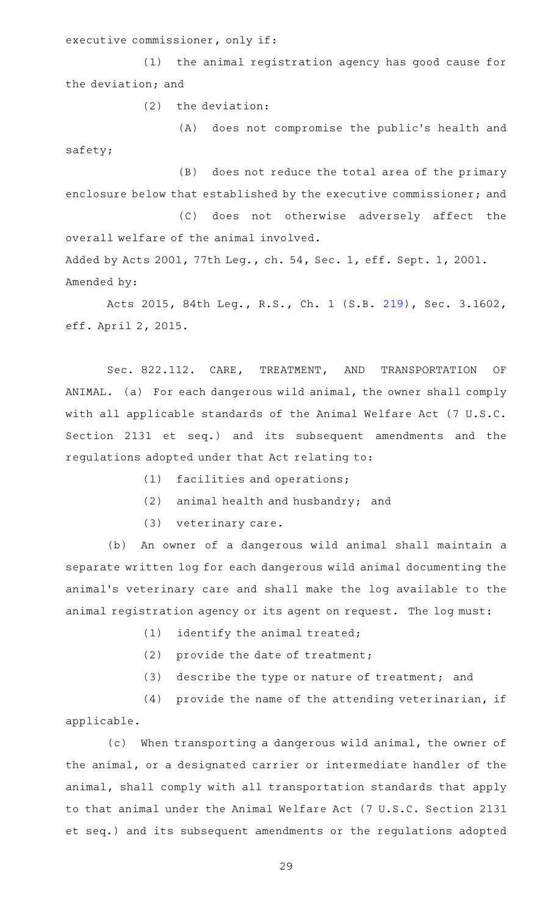executive commissioner, only if:

(1) the animal registration agency has good cause for the deviation; and

 $(2)$  the deviation:

(A) does not compromise the public's health and safety;

(B) does not reduce the total area of the primary enclosure below that established by the executive commissioner; and

(C) does not otherwise adversely affect the overall welfare of the animal involved.

Added by Acts 2001, 77th Leg., ch. 54, Sec. 1, eff. Sept. 1, 2001. Amended by:

Acts 2015, 84th Leg., R.S., Ch. 1 (S.B. [219](http://www.legis.state.tx.us/tlodocs/84R/billtext/html/SB00219F.HTM)), Sec. 3.1602, eff. April 2, 2015.

Sec. 822.112. CARE, TREATMENT, AND TRANSPORTATION OF ANIMAL. (a) For each dangerous wild animal, the owner shall comply with all applicable standards of the Animal Welfare Act (7 U.S.C. Section 2131 et seq.) and its subsequent amendments and the regulations adopted under that Act relating to:

 $(1)$  facilities and operations;

 $(2)$  animal health and husbandry; and

(3) veterinary care.

(b) An owner of a dangerous wild animal shall maintain a separate written log for each dangerous wild animal documenting the animal 's veterinary care and shall make the log available to the animal registration agency or its agent on request. The log must:

 $(1)$  identify the animal treated;

(2) provide the date of treatment;

(3) describe the type or nature of treatment; and

(4) provide the name of the attending veterinarian, if applicable.

(c) When transporting a dangerous wild animal, the owner of the animal, or a designated carrier or intermediate handler of the animal, shall comply with all transportation standards that apply to that animal under the Animal Welfare Act (7 U.S.C. Section 2131 et seq.) and its subsequent amendments or the regulations adopted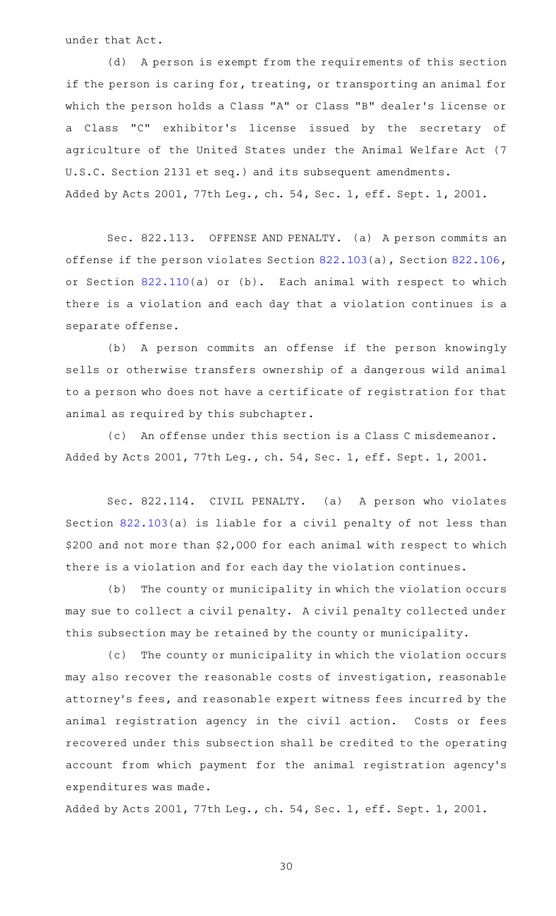under that Act.

(d) A person is exempt from the requirements of this section if the person is caring for, treating, or transporting an animal for which the person holds a Class "A" or Class "B" dealer 's license or a Class "C" exhibitor 's license issued by the secretary of agriculture of the United States under the Animal Welfare Act (7 U.S.C. Section 2131 et seq.) and its subsequent amendments. Added by Acts 2001, 77th Leg., ch. 54, Sec. 1, eff. Sept. 1, 2001.

Sec. 822.113. OFFENSE AND PENALTY. (a) A person commits an offense if the person violates Section [822.103](http://www.statutes.legis.state.tx.us/GetStatute.aspx?Code=HS&Value=822.103)(a), Section [822.106](http://www.statutes.legis.state.tx.us/GetStatute.aspx?Code=HS&Value=822.106), or Section [822.110](http://www.statutes.legis.state.tx.us/GetStatute.aspx?Code=HS&Value=822.110)(a) or (b). Each animal with respect to which there is a violation and each day that a violation continues is a separate offense.

(b) A person commits an offense if the person knowingly sells or otherwise transfers ownership of a dangerous wild animal to a person who does not have a certificate of registration for that animal as required by this subchapter.

(c) An offense under this section is a Class C misdemeanor. Added by Acts 2001, 77th Leg., ch. 54, Sec. 1, eff. Sept. 1, 2001.

Sec. 822.114. CIVIL PENALTY. (a) A person who violates Section [822.103\(](http://www.statutes.legis.state.tx.us/GetStatute.aspx?Code=HS&Value=822.103)a) is liable for a civil penalty of not less than \$200 and not more than \$2,000 for each animal with respect to which there is a violation and for each day the violation continues.

(b) The county or municipality in which the violation occurs may sue to collect a civil penalty. A civil penalty collected under this subsection may be retained by the county or municipality.

(c) The county or municipality in which the violation occurs may also recover the reasonable costs of investigation, reasonable attorney 's fees, and reasonable expert witness fees incurred by the animal registration agency in the civil action. Costs or fees recovered under this subsection shall be credited to the operating account from which payment for the animal registration agency 's expenditures was made.

Added by Acts 2001, 77th Leg., ch. 54, Sec. 1, eff. Sept. 1, 2001.